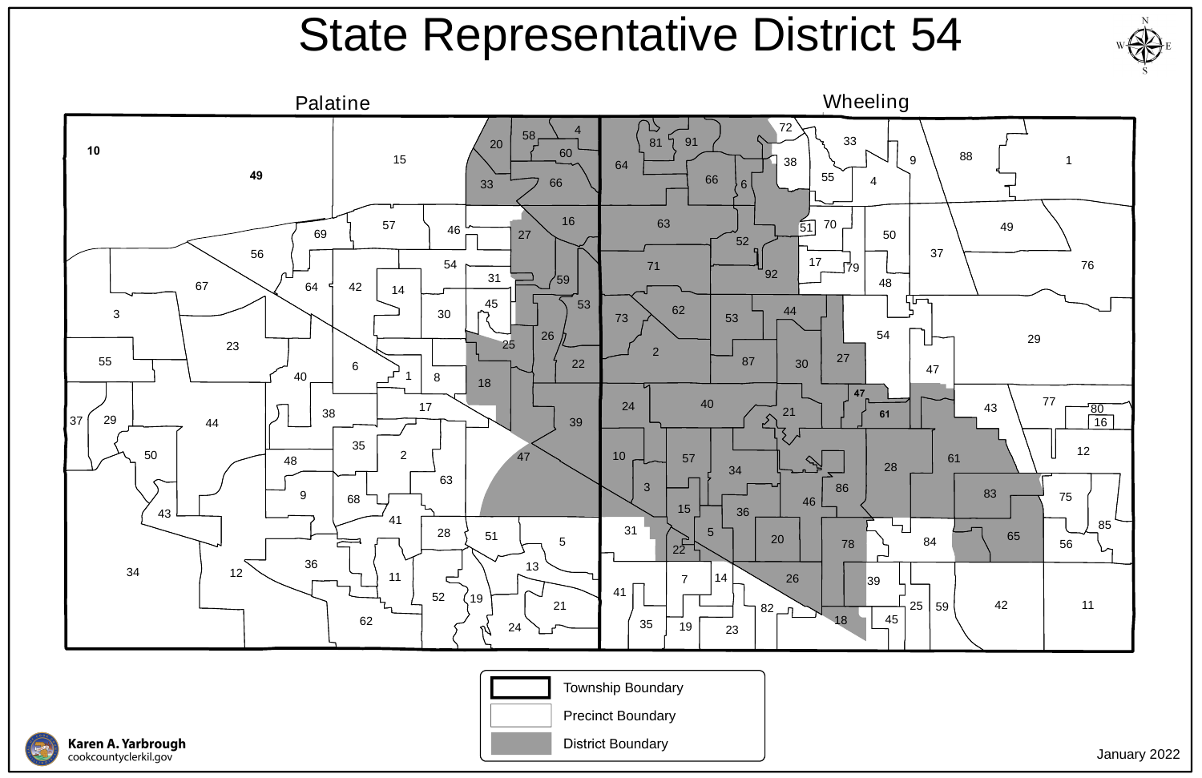



## State Representative District 54







January 2022